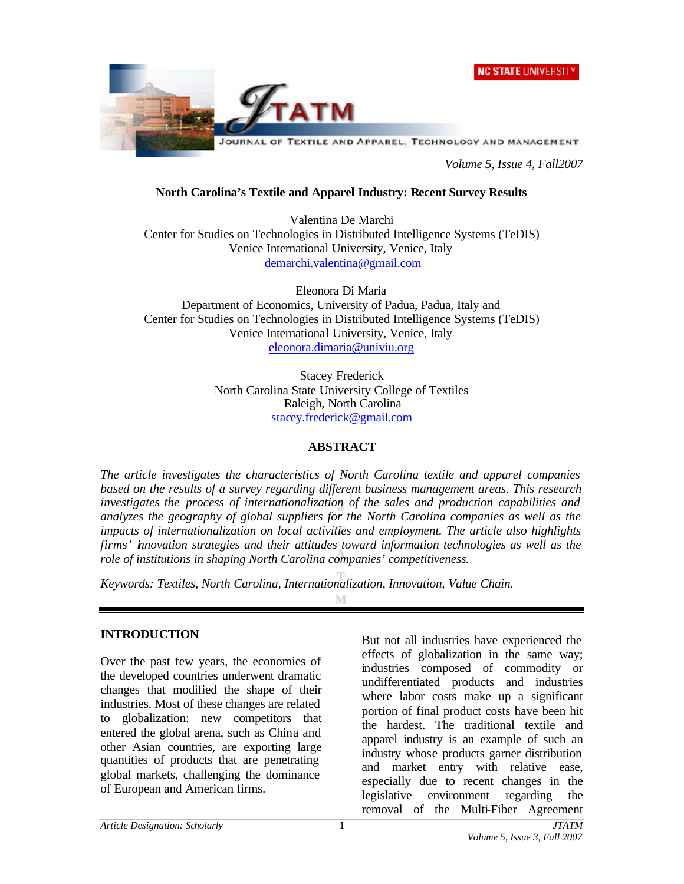



*Volume 5, Issue 4, Fall2007*

### **North Carolina's Textile and Apparel Industry: Recent Survey Results**

Valentina De Marchi Center for Studies on Technologies in Distributed Intelligence Systems (TeDIS) Venice International University, Venice, Italy demarchi.valentina@gmail.com

Eleonora Di Maria Department of Economics, University of Padua, Padua, Italy and Center for Studies on Technologies in Distributed Intelligence Systems (TeDIS) Venice International University, Venice, Italy eleonora.dimaria@univiu.org

> Stacey Frederick North Carolina State University College of Textiles Raleigh, North Carolina stacey.frederick@gmail.com

#### **ABSTRACT**

*The article investigates the characteristics of North Carolina textile and apparel companies based on the results of a survey regarding different business management areas. This research investigates the process of internationalization of the sales and production capabilities and analyzes the geography of global suppliers for the North Carolina companies as well as the impacts of internationalization on local activities and employment. The article also highlights firms' innovation strategies and their attitudes toward information technologies as well as the role of institutions in shaping North Carolina companies' competitiveness.*

*Keywords: Textiles, North Carolina, Internationalization, Innovation, Value Chain.*

M

#### **INTRODUCTION**

Over the past few years, the economies of the developed countries underwent dramatic changes that modified the shape of their industries. Most of these changes are related to globalization: new competitors that entered the global arena, such as China and other Asian countries, are exporting large quantities of products that are penetrating global markets, challenging the dominance of European and American firms.

But not all industries have experienced the effects of globalization in the same way; industries composed of commodity or undifferentiated products and industries where labor costs make up a significant portion of final product costs have been hit the hardest. The traditional textile and apparel industry is an example of such an industry whose products garner distribution and market entry with relative ease, especially due to recent changes in the legislative environment regarding the removal of the Multi-Fiber Agreement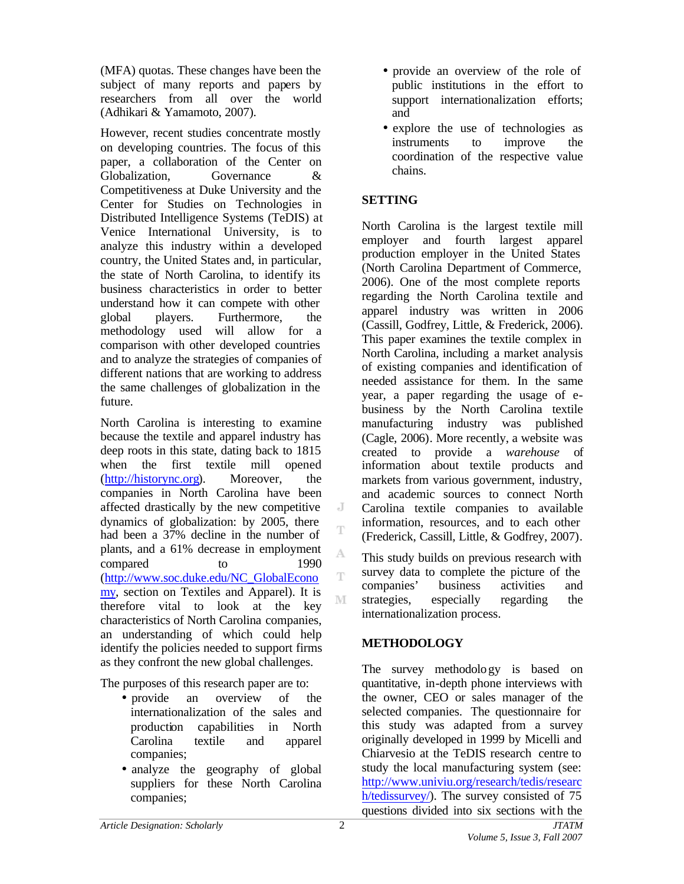(MFA) quotas. These changes have been the subject of many reports and papers by researchers from all over the world (Adhikari & Yamamoto, 2007).

However, recent studies concentrate mostly on developing countries. The focus of this paper, a collaboration of the Center on Globalization, Governance & Competitiveness at Duke University and the Center for Studies on Technologies in Distributed Intelligence Systems (TeDIS) at Venice International University, is to analyze this industry within a developed country, the United States and, in particular, the state of North Carolina, to identify its business characteristics in order to better understand how it can compete with other global players. Furthermore, the methodology used will allow for a comparison with other developed countries and to analyze the strategies of companies of different nations that are working to address the same challenges of globalization in the future.

North Carolina is interesting to examine because the textile and apparel industry has deep roots in this state, dating back to 1815 when the first textile mill opened (http://historync.org). Moreover, the companies in North Carolina have been affected drastically by the new competitive dynamics of globalization: by 2005, there had been a 37% decline in the number of plants, and a 61% decrease in employment compared to 1990 (http://www.soc.duke.edu/NC\_GlobalEcono my, section on Textiles and Apparel). It is therefore vital to look at the key characteristics of North Carolina companies, an understanding of which could help identify the policies needed to support firms as they confront the new global challenges.

The purposes of this research paper are to:

- provide an overview of the internationalization of the sales and production capabilities in North Carolina textile and apparel companies;
- analyze the geography of global suppliers for these North Carolina companies;
- provide an overview of the role of public institutions in the effort to support internationalization efforts; and
- explore the use of technologies as instruments to improve the coordination of the respective value chains.

# **SETTING**

North Carolina is the largest textile mill employer and fourth largest apparel production employer in the United States (North Carolina Department of Commerce, 2006). One of the most complete reports regarding the North Carolina textile and apparel industry was written in 2006 (Cassill, Godfrey, Little, & Frederick, 2006). This paper examines the textile complex in North Carolina, including a market analysis of existing companies and identification of needed assistance for them. In the same year, a paper regarding the usage of ebusiness by the North Carolina textile manufacturing industry was published (Cagle, 2006). More recently, a website was created to provide a *warehouse* of information about textile products and markets from various government, industry, and academic sources to connect North Carolina textile companies to available information, resources, and to each other (Frederick, Cassill, Little, & Godfrey, 2007).

This study builds on previous research with survey data to complete the picture of the companies' business activities and strategies, especially regarding the internationalization process.

# **METHODOLOGY**

The survey methodology is based on quantitative, in-depth phone interviews with the owner, CEO or sales manager of the selected companies. The questionnaire for this study was adapted from a survey originally developed in 1999 by Micelli and Chiarvesio at the TeDIS research centre to study the local manufacturing system (see: http://www.univiu.org/research/tedis/researc h/tedissurvey/). The survey consisted of 75 questions divided into six sections with the

 $\overline{A}$ T

A Ŧ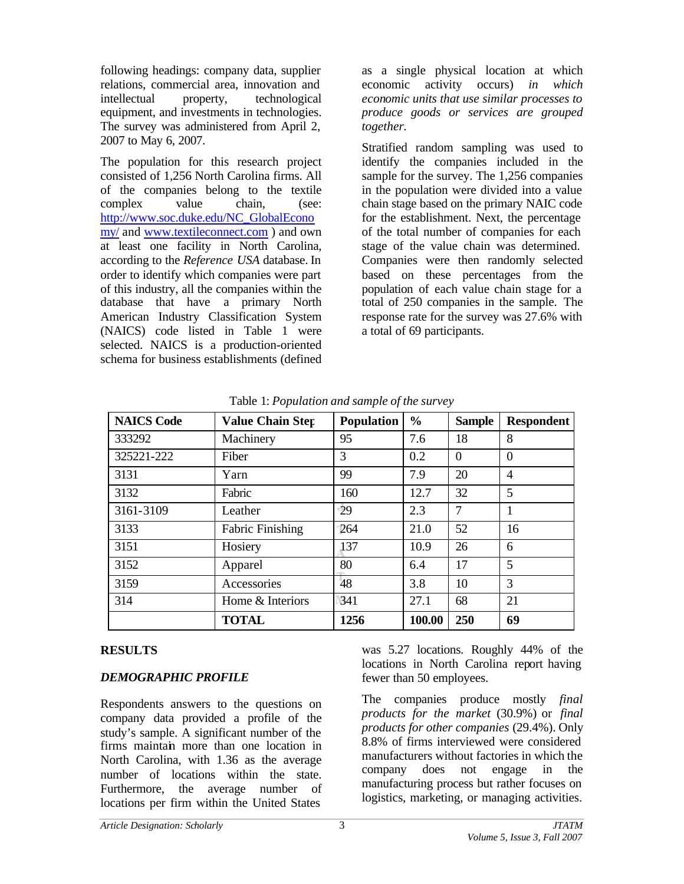following headings: company data, supplier relations, commercial area, innovation and intellectual property, technological equipment, and investments in technologies. The survey was administered from April 2, 2007 to May 6, 2007.

The population for this research project consisted of 1,256 North Carolina firms. All of the companies belong to the textile complex value chain, (see: http://www.soc.duke.edu/NC\_GlobalEcono my/ and www.textileconnect.com ) and own at least one facility in North Carolina, according to the *Reference USA* database. In order to identify which companies were part of this industry, all the companies within the database that have a primary North American Industry Classification System (NAICS) code listed in Table 1 were selected. NAICS is a production-oriented schema for business establishments (defined as a single physical location at which economic activity occurs) *in which economic units that use similar processes to produce goods or services are grouped together.*

Stratified random sampling was used to identify the companies included in the sample for the survey. The 1,256 companies in the population were divided into a value chain stage based on the primary NAIC code for the establishment. Next, the percentage of the total number of companies for each stage of the value chain was determined. Companies were then randomly selected based on these percentages from the population of each value chain stage for a total of 250 companies in the sample. The response rate for the survey was 27.6% with a total of 69 participants.

| <b>NAICS Code</b> | <b>Value Chain Step</b> | <b>Population</b> | $\frac{0}{0}$ | <b>Sample</b> | <b>Respondent</b> |
|-------------------|-------------------------|-------------------|---------------|---------------|-------------------|
| 333292            | Machinery               | 95                | 7.6           | 18            | 8                 |
| 325221-222        | Fiber                   | 3                 | 0.2           | $\Omega$      | $\overline{0}$    |
| 3131              | Yarn                    | 99                | 7.9           | 20            | $\overline{4}$    |
| 3132              | Fabric                  | 160               | 12.7          | 32            | 5                 |
| 3161-3109         | Leather                 | -29               | 2.3           | 7             | $\mathbf{1}$      |
| 3133              | <b>Fabric Finishing</b> | 264               | 21.0          | 52            | 16                |
| 3151              | Hosiery                 | 137               | 10.9          | 26            | 6                 |
| 3152              | Apparel                 | 80                | 6.4           | 17            | 5                 |
| 3159              | Accessories             | 48                | 3.8           | 10            | 3                 |
| 314               | Home & Interiors        | 341               | 27.1          | 68            | 21                |
|                   | <b>TOTAL</b>            | 1256              | 100.00        | 250           | 69                |

Table 1: *Population and sample of the survey*

# **RESULTS**

### *DEMOGRAPHIC PROFILE*

Respondents answers to the questions on company data provided a profile of the study's sample. A significant number of the firms maintain more than one location in North Carolina, with 1.36 as the average number of locations within the state. Furthermore, the average number of locations per firm within the United States

was 5.27 locations. Roughly 44% of the locations in North Carolina report having fewer than 50 employees.

The companies produce mostly *final products for the market* (30.9%) or *final products for other companies* (29.4%). Only 8.8% of firms interviewed were considered manufacturers without factories in which the company does not engage in the manufacturing process but rather focuses on logistics, marketing, or managing activities.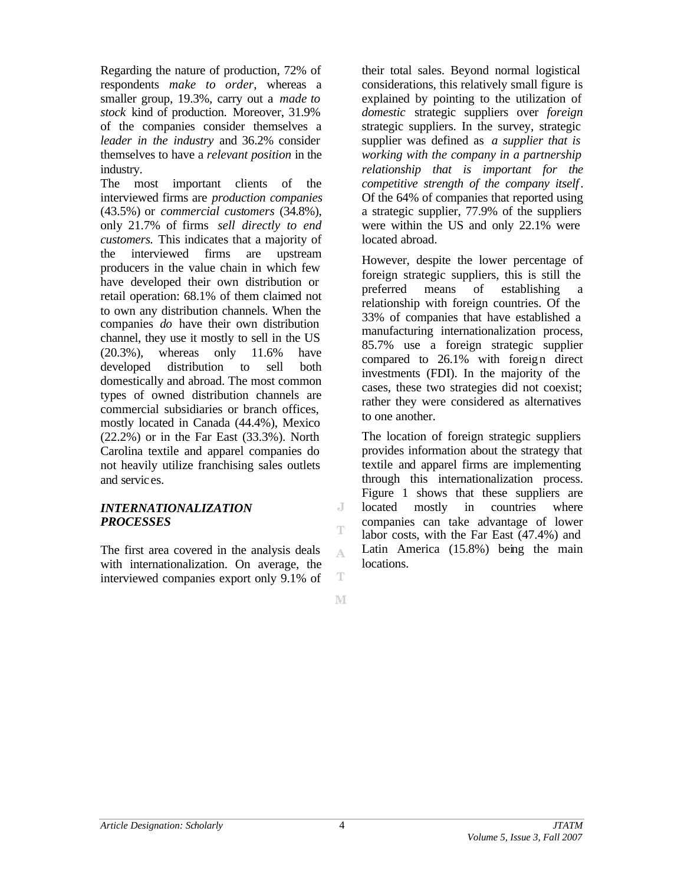Regarding the nature of production, 72% of respondents *make to order*, whereas a smaller group, 19.3%, carry out a *made to stock* kind of production. Moreover, 31.9% of the companies consider themselves a *leader in the industry* and 36.2% consider themselves to have a *relevant position* in the industry.

The most important clients of the interviewed firms are *production companies* (43.5%) or *commercial customers* (34.8%), only 21.7% of firms *sell directly to end customers.* This indicates that a majority of the interviewed firms are upstream producers in the value chain in which few have developed their own distribution or retail operation: 68.1% of them claimed not to own any distribution channels. When the companies *do* have their own distribution channel, they use it mostly to sell in the US (20.3%), whereas only 11.6% have developed distribution to sell both domestically and abroad. The most common types of owned distribution channels are commercial subsidiaries or branch offices, mostly located in Canada (44.4%), Mexico (22.2%) or in the Far East (33.3%). North Carolina textile and apparel companies do not heavily utilize franchising sales outlets and services.

#### *INTERNATIONALIZATION PROCESSES*

The first area covered in the analysis deals with internationalization. On average, the interviewed companies export only 9.1% of their total sales. Beyond normal logistical considerations, this relatively small figure is explained by pointing to the utilization of *domestic* strategic suppliers over *foreign* strategic suppliers. In the survey, strategic supplier was defined as *a supplier that is working with the company in a partnership relationship that is important for the competitive strength of the company itself*. Of the 64% of companies that reported using a strategic supplier, 77.9% of the suppliers were within the US and only 22.1% were located abroad.

However, despite the lower percentage of foreign strategic suppliers, this is still the preferred means of establishing a relationship with foreign countries. Of the 33% of companies that have established a manufacturing internationalization process, 85.7% use a foreign strategic supplier compared to 26.1% with foreign direct investments (FDI). In the majority of the cases, these two strategies did not coexist; rather they were considered as alternatives to one another.

The location of foreign strategic suppliers provides information about the strategy that textile and apparel firms are implementing through this internationalization process. Figure 1 shows that these suppliers are located mostly in countries where companies can take advantage of lower labor costs, with the Far East (47.4%) and Latin America (15.8%) being the main locations.

J Ŧ

A.

T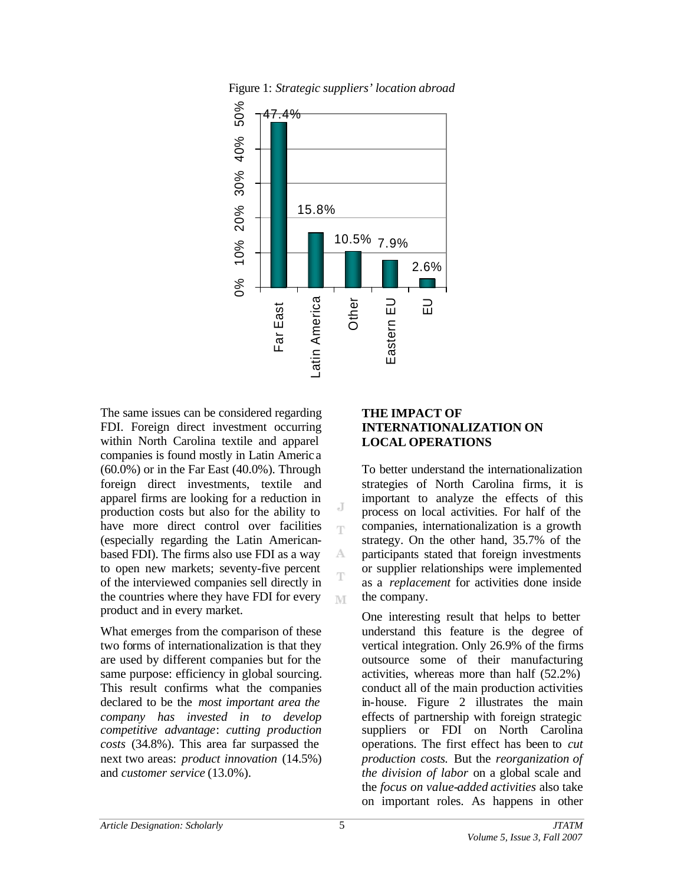

J Ť

А

M

Figure 1: *Strategic suppliers' location abroad*

The same issues can be considered regarding FDI. Foreign direct investment occurring within North Carolina textile and apparel companies is found mostly in Latin Americ a  $(60.0\%)$  or in the Far East  $(40.0\%)$ . Through foreign direct investments, textile and apparel firms are looking for a reduction in production costs but also for the ability to have more direct control over facilities (especially regarding the Latin Americanbased FDI). The firms also use FDI as a way to open new markets; seventy-five percent of the interviewed companies sell directly in the countries where they have FDI for every product and in every market.

What emerges from the comparison of these two forms of internationalization is that they are used by different companies but for the same purpose: efficiency in global sourcing. This result confirms what the companies declared to be the *most important area the company has invested in to develop competitive advantage*: *cutting production costs* (34.8%). This area far surpassed the next two areas: *product innovation* (14.5%) and *customer service* (13.0%).

#### **THE IMPACT OF INTERNATIONALIZATION ON LOCAL OPERATIONS**

To better understand the internationalization strategies of North Carolina firms, it is important to analyze the effects of this process on local activities. For half of the companies, internationalization is a growth strategy. On the other hand, 35.7% of the participants stated that foreign investments or supplier relationships were implemented as a *replacement* for activities done inside the company.

One interesting result that helps to better understand this feature is the degree of vertical integration. Only 26.9% of the firms outsource some of their manufacturing activities, whereas more than half (52.2%) conduct all of the main production activities in-house. Figure 2 illustrates the main effects of partnership with foreign strategic suppliers or FDI on North Carolina operations. The first effect has been to *cut production costs.* But the *reorganization of the division of labor* on a global scale and the *focus on value-added activities* also take on important roles. As happens in other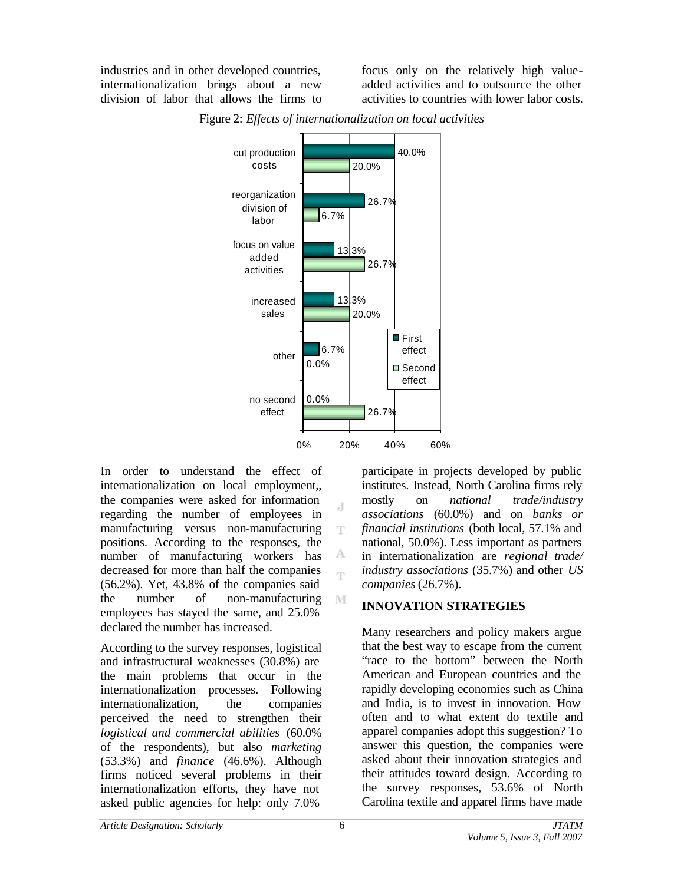industries and in other developed countries, internationalization brings about a new division of labor that allows the firms to focus only on the relatively high valueadded activities and to outsource the other activities to countries with lower labor costs.



J T

А m

M

Figure 2: *Effects of internationalization on local activities*

In order to understand the effect of internationalization on local employment,, the companies were asked for information regarding the number of employees in manufacturing versus non-manufacturing positions. According to the responses, the number of manufacturing workers has decreased for more than half the companies (56.2%). Yet, 43.8% of the companies said the number of non-manufacturing employees has stayed the same, and 25.0% declared the number has increased.

According to the survey responses, logistical and infrastructural weaknesses (30.8%) are the main problems that occur in the internationalization processes. Following internationalization, the companies perceived the need to strengthen their *logistical and commercial abilities* (60.0% of the respondents), but also *marketing* (53.3%) and *finance* (46.6%). Although firms noticed several problems in their internationalization efforts, they have not asked public agencies for help: only 7.0%

participate in projects developed by public institutes. Instead, North Carolina firms rely mostly on *national trade/industry associations* (60.0%) and on *banks or financial institutions* (both local, 57.1% and national, 50.0%). Less important as partners in internationalization are *regional trade/ industry associations* (35.7%) and other *US companies* (26.7%).

# **INNOVATION STRATEGIES**

Many researchers and policy makers argue that the best way to escape from the current "race to the bottom" between the North American and European countries and the rapidly developing economies such as China and India, is to invest in innovation. How often and to what extent do textile and apparel companies adopt this suggestion? To answer this question, the companies were asked about their innovation strategies and their attitudes toward design. According to the survey responses, 53.6% of North Carolina textile and apparel firms have made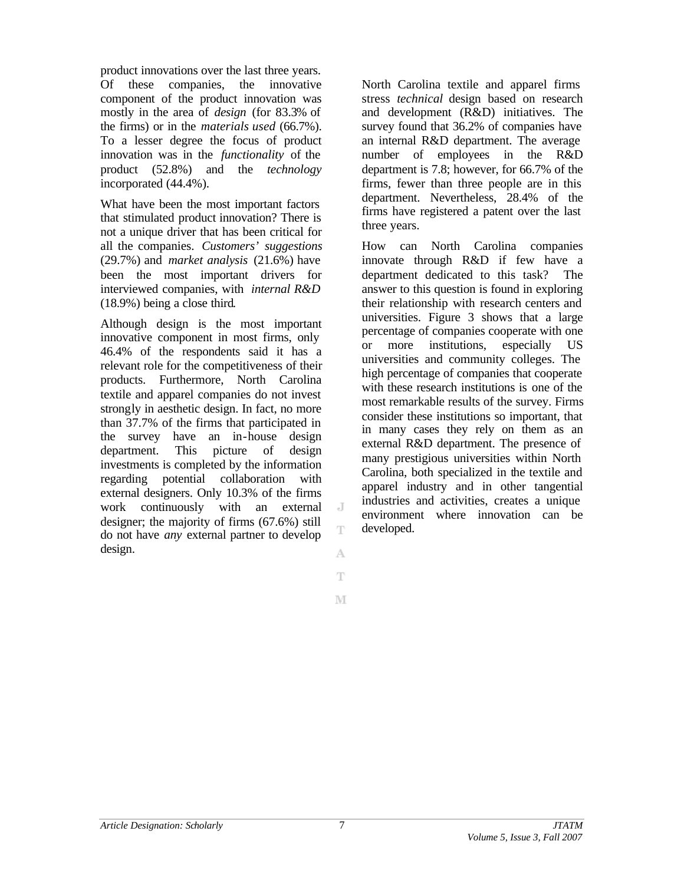product innovations over the last three years. Of these companies, the innovative component of the product innovation was mostly in the area of *design* (for 83.3% of the firms) or in the *materials used* (66.7%). To a lesser degree the focus of product innovation was in the *functionality* of the product (52.8%) and the *technology* incorporated (44.4%).

What have been the most important factors that stimulated product innovation? There is not a unique driver that has been critical for all the companies. *Customers' suggestions* (29.7%) and *market analysis* (21.6%) have been the most important drivers for interviewed companies, with *internal R&D*  (18.9%) being a close third.

Although design is the most important innovative component in most firms, only 46.4% of the respondents said it has a relevant role for the competitiveness of their products. Furthermore, North Carolina textile and apparel companies do not invest strongly in aesthetic design. In fact, no more than 37.7% of the firms that participated in the survey have an in-house design department. This picture of design investments is completed by the information regarding potential collaboration with external designers. Only 10.3% of the firms work continuously with an external designer; the majority of firms (67.6%) still do not have *any* external partner to develop design.

North Carolina textile and apparel firms stress *technical* design based on research and development (R&D) initiatives. The survey found that 36.2% of companies have an internal R&D department. The average number of employees in the R&D department is 7.8; however, for 66.7% of the firms, fewer than three people are in this department. Nevertheless, 28.4% of the firms have registered a patent over the last three years.

How can North Carolina companies innovate through R&D if few have a department dedicated to this task? The answer to this question is found in exploring their relationship with research centers and universities. Figure 3 shows that a large percentage of companies cooperate with one or more institutions, especially US universities and community colleges. The high percentage of companies that cooperate with these research institutions is one of the most remarkable results of the survey. Firms consider these institutions so important, that in many cases they rely on them as an external R&D department. The presence of many prestigious universities within North Carolina, both specialized in the textile and apparel industry and in other tangential industries and activities, creates a unique environment where innovation can be developed.

J.

T

А Ŧ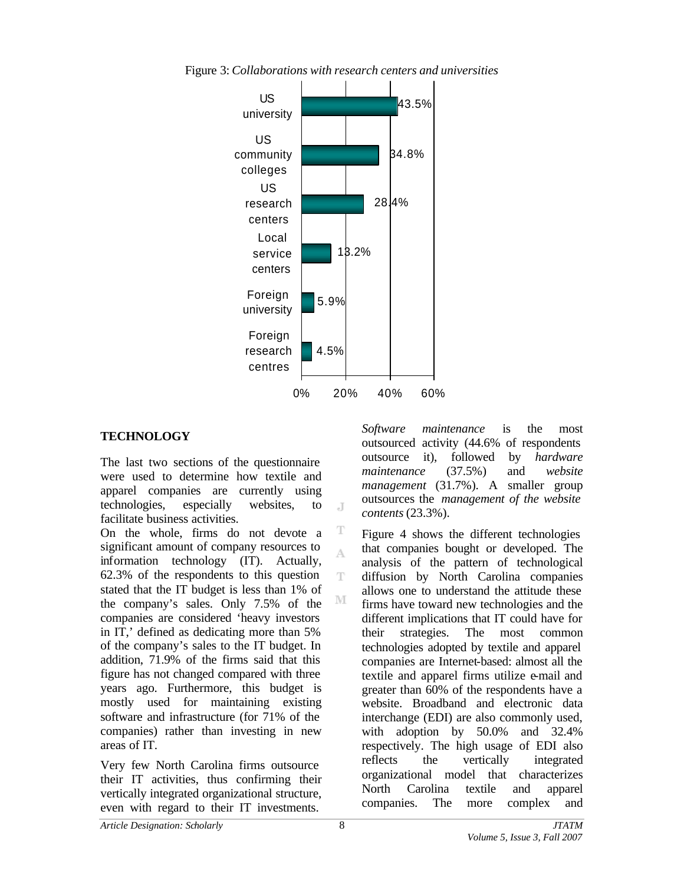

 $\overline{A}$ 

T A

T

M

Figure 3: *Collaborations with research centers and universities*

### **TECHNOLOGY**

The last two sections of the questionnaire were used to determine how textile and apparel companies are currently using technologies, especially websites, to facilitate business activities.

On the whole, firms do not devote a significant amount of company resources to information technology (IT). Actually, 62.3% of the respondents to this question stated that the IT budget is less than 1% of the company's sales. Only 7.5% of the companies are considered 'heavy investors in IT,' defined as dedicating more than 5% of the company's sales to the IT budget. In addition, 71.9% of the firms said that this figure has not changed compared with three years ago. Furthermore, this budget is mostly used for maintaining existing software and infrastructure (for 71% of the companies) rather than investing in new areas of IT.

Very few North Carolina firms outsource their IT activities, thus confirming their vertically integrated organizational structure, even with regard to their IT investments.

*Software maintenance* is the most outsourced activity (44.6% of respondents outsource it), followed by *hardware maintenance* (37.5%) and *website management* (31.7%). A smaller group outsources the *management of the website contents* (23.3%).

Figure 4 shows the different technologies that companies bought or developed. The analysis of the pattern of technological diffusion by North Carolina companies allows one to understand the attitude these firms have toward new technologies and the different implications that IT could have for their strategies. The most common technologies adopted by textile and apparel companies are Internet-based: almost all the textile and apparel firms utilize e-mail and greater than 60% of the respondents have a website. Broadband and electronic data interchange (EDI) are also commonly used, with adoption by 50.0% and 32.4% respectively. The high usage of EDI also reflects the vertically integrated organizational model that characterizes North Carolina textile and apparel companies. The more complex and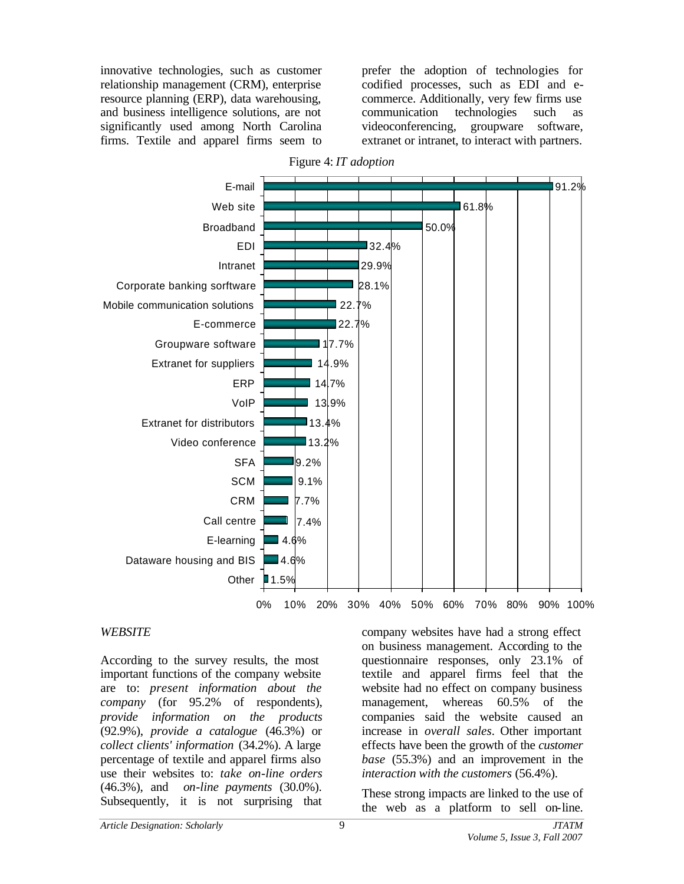innovative technologies, such as customer relationship management (CRM), enterprise resource planning (ERP), data warehousing, and business intelligence solutions, are not significantly used among North Carolina firms. Textile and apparel firms seem to

prefer the adoption of technologies for codified processes, such as EDI and ecommerce. Additionally, very few firms use communication technologies such as videoconferencing, groupware software, extranet or intranet, to interact with partners.



#### *WEBSITE*

According to the survey results, the most important functions of the company website are to: *present information about the company* (for 95.2% of respondents), *provide information on the products* (92.9%), *provide a catalogue* (46.3%) or *collect clients' information* (34.2%). A large percentage of textile and apparel firms also use their websites to: *take on-line orders* (46.3%), and *on-line payments* (30.0%). Subsequently, it is not surprising that

company websites have had a strong effect on business management. According to the questionnaire responses, only 23.1% of textile and apparel firms feel that the website had no effect on company business management, whereas 60.5% of the companies said the website caused an increase in *overall sales*. Other important effects have been the growth of the *customer base* (55.3%) and an improvement in the *interaction with the customers* (56.4%).

These strong impacts are linked to the use of the web as a platform to sell on-line.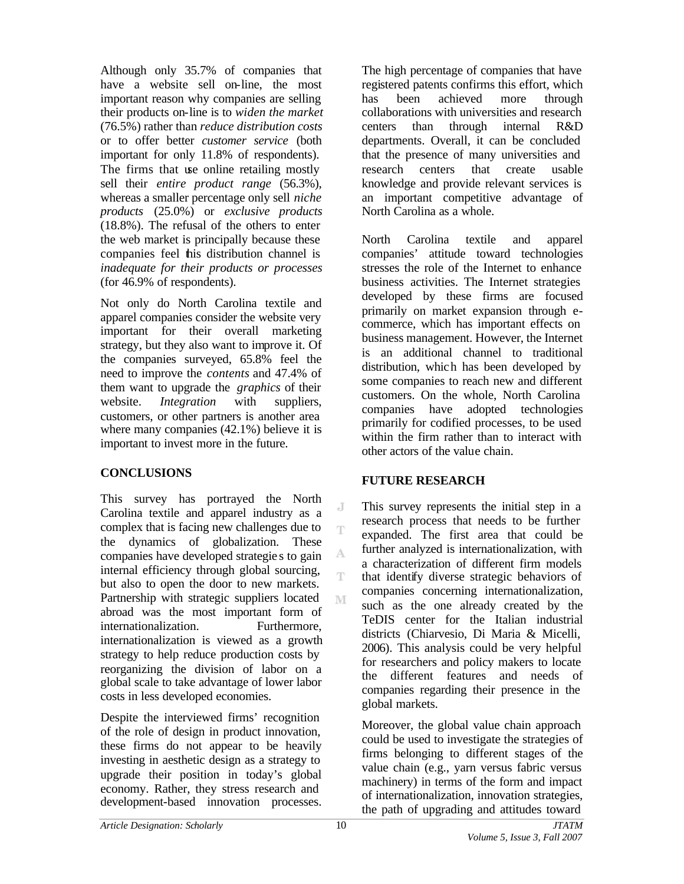Although only 35.7% of companies that have a website sell on-line, the most important reason why companies are selling their products on-line is to *widen the market* (76.5%) rather than *reduce distribution costs* or to offer better *customer service* (both important for only 11.8% of respondents). The firms that use online retailing mostly sell their *entire product range* (56.3%), whereas a smaller percentage only sell *niche products* (25.0%) or *exclusive products* (18.8%). The refusal of the others to enter the web market is principally because these companies feel this distribution channel is *inadequate for their products or processes* (for 46.9% of respondents).

Not only do North Carolina textile and apparel companies consider the website very important for their overall marketing strategy, but they also want to improve it. Of the companies surveyed, 65.8% feel the need to improve the *contents* and 47.4% of them want to upgrade the *graphics* of their website. *Integration* with suppliers, customers, or other partners is another area where many companies  $(42.1\%)$  believe it is important to invest more in the future.

# **CONCLUSIONS**

This survey has portrayed the North Carolina textile and apparel industry as a complex that is facing new challenges due to the dynamics of globalization. These companies have developed strategie s to gain internal efficiency through global sourcing, but also to open the door to new markets. Partnership with strategic suppliers located abroad was the most important form of internationalization. Furthermore, internationalization is viewed as a growth strategy to help reduce production costs by reorganizing the division of labor on a global scale to take advantage of lower labor costs in less developed economies.

Despite the interviewed firms' recognition of the role of design in product innovation, these firms do not appear to be heavily investing in aesthetic design as a strategy to upgrade their position in today's global economy. Rather, they stress research and development-based innovation processes.

The high percentage of companies that have registered patents confirms this effort, which has been achieved more through collaborations with universities and research centers than through internal R&D departments. Overall, it can be concluded that the presence of many universities and research centers that create usable knowledge and provide relevant services is an important competitive advantage of North Carolina as a whole.

North Carolina textile and apparel companies' attitude toward technologies stresses the role of the Internet to enhance business activities. The Internet strategies developed by these firms are focused primarily on market expansion through ecommerce, which has important effects on business management. However, the Internet is an additional channel to traditional distribution, which has been developed by some companies to reach new and different customers. On the whole, North Carolina companies have adopted technologies primarily for codified processes, to be used within the firm rather than to interact with other actors of the value chain.

# **FUTURE RESEARCH**

This survey represents the initial step in a research process that needs to be further expanded. The first area that could be further analyzed is internationalization, with a characterization of different firm models that identify diverse strategic behaviors of companies concerning internationalization, such as the one already created by the TeDIS center for the Italian industrial districts (Chiarvesio, Di Maria & Micelli, 2006). This analysis could be very helpful for researchers and policy makers to locate the different features and needs of companies regarding their presence in the global markets.

Moreover, the global value chain approach could be used to investigate the strategies of firms belonging to different stages of the value chain (e.g., yarn versus fabric versus machinery) in terms of the form and impact of internationalization, innovation strategies, the path of upgrading and attitudes toward

J T

A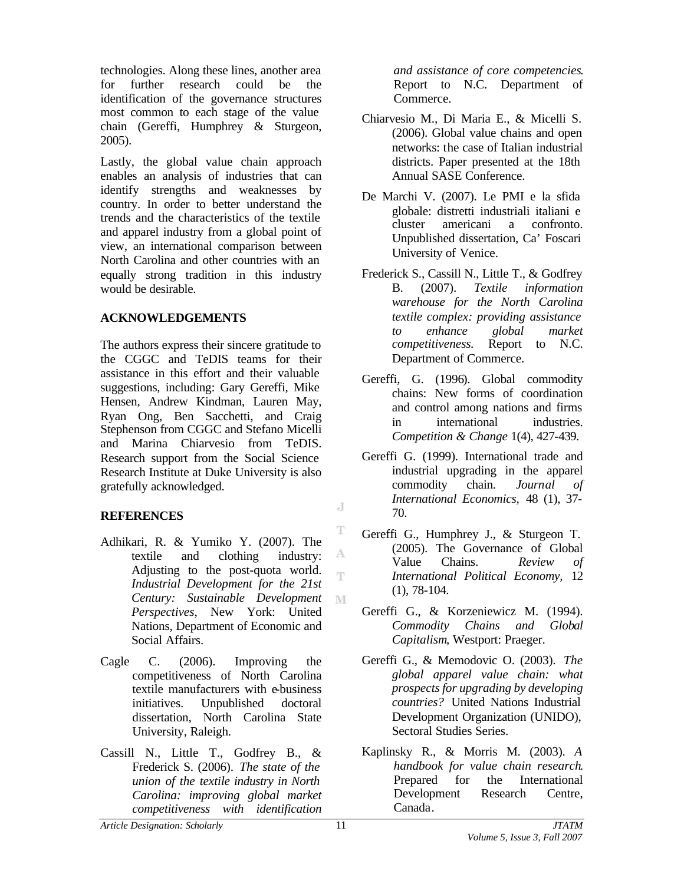technologies. Along these lines, another area for further research could be the identification of the governance structures most common to each stage of the value chain (Gereffi, Humphrey & Sturgeon, 2005).

Lastly, the global value chain approach enables an analysis of industries that can identify strengths and weaknesses by country. In order to better understand the trends and the characteristics of the textile and apparel industry from a global point of view, an international comparison between North Carolina and other countries with an equally strong tradition in this industry would be desirable.

### **ACKNOWLEDGEMENTS**

The authors express their sincere gratitude to the CGGC and TeDIS teams for their assistance in this effort and their valuable suggestions, including: Gary Gereffi, Mike Hensen, Andrew Kindman, Lauren May, Ryan Ong, Ben Sacchetti, and Craig Stephenson from CGGC and Stefano Micelli and Marina Chiarvesio from TeDIS. Research support from the Social Science Research Institute at Duke University is also gratefully acknowledged.

### **REFERENCES**

- Adhikari, R. & Yumiko Y. (2007). The A textile and clothing industry: Adjusting to the post-quota world. *Industrial Development for the 21st Century: Sustainable Development* M *Perspectives*, New York: United Nations, Department of Economic and Social Affairs.
- Cagle C. (2006). Improving the competitiveness of North Carolina textile manufacturers with e-business initiatives. Unpublished doctoral dissertation, North Carolina State University, Raleigh.
- Cassill N., Little T., Godfrey B., & Frederick S. (2006). *The state of the union of the textile industry in North Carolina: improving global market competitiveness with identification*

*and assistance of core competencies*. Report to N.C. Department of Commerce.

- Chiarvesio M., Di Maria E., & Micelli S. (2006). Global value chains and open networks: the case of Italian industrial districts. Paper presented at the 18th Annual SASE Conference.
- De Marchi V. (2007). Le PMI e la sfida globale: distretti industriali italiani e cluster americani a confronto. Unpublished dissertation, Ca' Foscari University of Venice.
- Frederick S., Cassill N., Little T., & Godfrey B. (2007). *Textile information warehouse for the North Carolina textile complex: providing assistance to enhance global market competitiveness.* Report to N.C. Department of Commerce.
- Gereffi, G. (1996). Global commodity chains: New forms of coordination and control among nations and firms in international industries. *Competition & Change* 1(4), 427-439.
- Gereffi G. (1999). International trade and industrial upgrading in the apparel commodity chain. *Journal of International Economics,* 48 (1), 37- 70.
- Gereffi G., Humphrey J., & Sturgeon T. (2005). The Governance of Global Value Chains. *Review of International Political Economy,* 12 (1), 78-104.
- Gereffi G., & Korzeniewicz M. (1994). *Commodity Chains and Global Capitalism*, Westport: Praeger.
- Gereffi G., & Memodovic O. (2003). *The global apparel value chain: what prospects for upgrading by developing countries?* United Nations Industrial Development Organization (UNIDO), Sectoral Studies Series.
- Kaplinsky R., & Morris M. (2003). *A handbook for value chain research.* Prepared for the International Development Research Centre, Canada.

*Article Designation: Scholarly JTATM*

J.

T

T